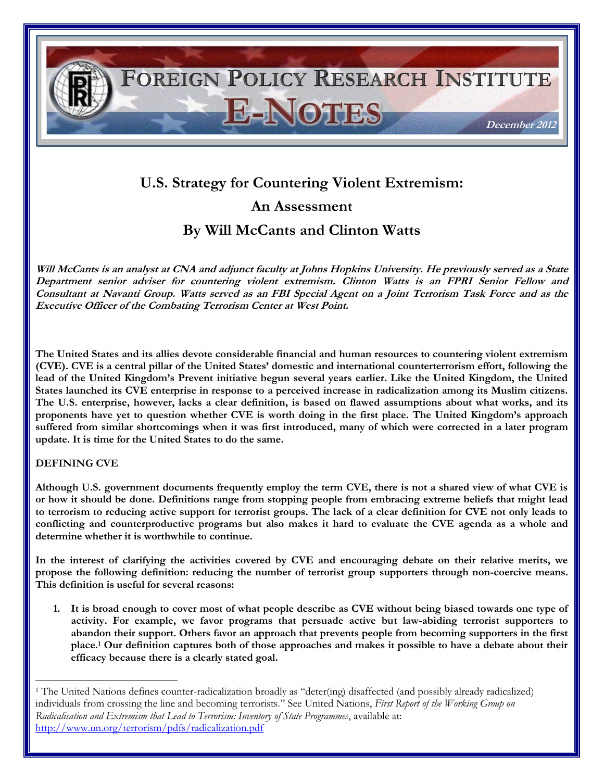

# **U.S. Strategy for Countering Violent Extremism: An Assessment**

**By Will McCants and Clinton Watts**

**Will McCants is an analyst at CNA and adjunct faculty at Johns Hopkins University. He previously served as a State Department senior adviser for countering violent extremism. Clinton Watts is an FPRI Senior Fellow and Consultant at Navanti Group. Watts served as an FBI Special Agent on a Joint Terrorism Task Force and as the Executive Officer of the Combating Terrorism Center at West Point.** 

**The United States and its allies devote considerable financial and human resources to countering violent extremism (CVE). CVE is a central pillar of the United States' domestic and international counterterrorism effort, following the lead of the United Kingdom's Prevent initiative begun several years earlier. Like the United Kingdom, the United States launched its CVE enterprise in response to a perceived increase in radicalization among its Muslim citizens. The U.S. enterprise, however, lacks a clear definition, is based on flawed assumptions about what works, and its proponents have yet to question whether CVE is worth doing in the first place. The United Kingdom's approach suffered from similar shortcomings when it was first introduced, many of which were corrected in a later program update. It is time for the United States to do the same.** 

## **DEFINING CVE**

 $\overline{\phantom{a}}$ 

**Although U.S. government documents frequently employ the term CVE, there is not a shared view of what CVE is or how it should be done. Definitions range from stopping people from embracing extreme beliefs that might lead to terrorism to reducing active support for terrorist groups. The lack of a clear definition for CVE not only leads to conflicting and counterproductive programs but also makes it hard to evaluate the CVE agenda as a whole and determine whether it is worthwhile to continue.** 

**In the interest of clarifying the activities covered by CVE and encouraging debate on their relative merits, we propose the following definition: reducing the number of terrorist group supporters through non-coercive means. This definition is useful for several reasons:**

**1. It is broad enough to cover most of what people describe as CVE without being biased towards one type of activity. For example, we favor programs that persuade active but law-abiding terrorist supporters to abandon their support. Others favor an approach that prevents people from becoming supporters in the first place.<sup>1</sup> Our definition captures both of those approaches and makes it possible to have a debate about their efficacy because there is a clearly stated goal.** 

<sup>1</sup> The United Nations defines counter-radicalization broadly as "deter(ing) disaffected (and possibly already radicalized) individuals from crossing the line and becoming terrorists." See United Nations, *First Report of the Working Group on Radicalisation and Extremism that Lead to Terrorism: Inventory of State Programmes*, available at: <http://www.un.org/terrorism/pdfs/radicalization.pdf>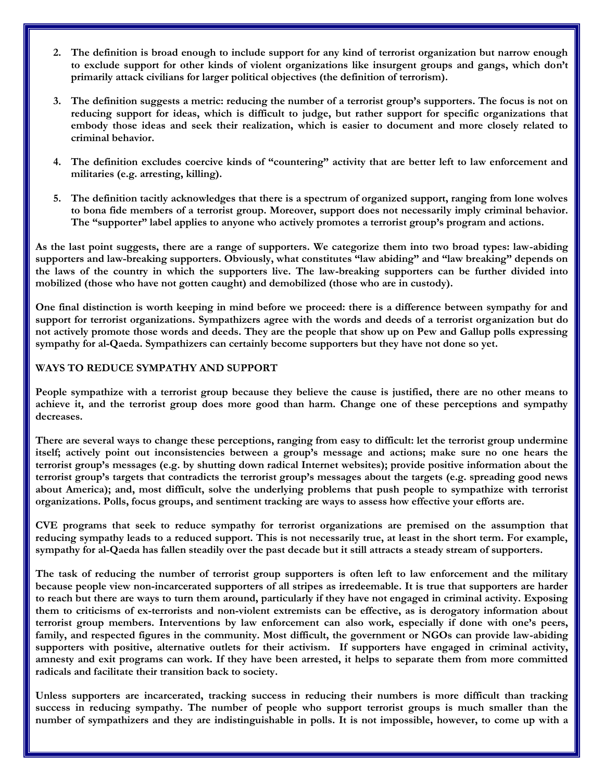- **2. The definition is broad enough to include support for any kind of terrorist organization but narrow enough to exclude support for other kinds of violent organizations like insurgent groups and gangs, which don't primarily attack civilians for larger political objectives (the definition of terrorism).**
- **3. The definition suggests a metric: reducing the number of a terrorist group's supporters. The focus is not on reducing support for ideas, which is difficult to judge, but rather support for specific organizations that embody those ideas and seek their realization, which is easier to document and more closely related to criminal behavior.**
- **4. The definition excludes coercive kinds of "countering" activity that are better left to law enforcement and militaries (e.g. arresting, killing).**
- **5. The definition tacitly acknowledges that there is a spectrum of organized support, ranging from lone wolves to bona fide members of a terrorist group. Moreover, support does not necessarily imply criminal behavior. The "supporter" label applies to anyone who actively promotes a terrorist group's program and actions.**

**As the last point suggests, there are a range of supporters. We categorize them into two broad types: law-abiding supporters and law-breaking supporters. Obviously, what constitutes "law abiding" and "law breaking" depends on the laws of the country in which the supporters live. The law-breaking supporters can be further divided into mobilized (those who have not gotten caught) and demobilized (those who are in custody).** 

**One final distinction is worth keeping in mind before we proceed: there is a difference between sympathy for and support for terrorist organizations. Sympathizers agree with the words and deeds of a terrorist organization but do not actively promote those words and deeds. They are the people that show up on Pew and Gallup polls expressing sympathy for al-Qaeda. Sympathizers can certainly become supporters but they have not done so yet.**

#### **WAYS TO REDUCE SYMPATHY AND SUPPORT**

**People sympathize with a terrorist group because they believe the cause is justified, there are no other means to achieve it, and the terrorist group does more good than harm. Change one of these perceptions and sympathy decreases.** 

**There are several ways to change these perceptions, ranging from easy to difficult: let the terrorist group undermine itself; actively point out inconsistencies between a group's message and actions; make sure no one hears the terrorist group's messages (e.g. by shutting down radical Internet websites); provide positive information about the terrorist group's targets that contradicts the terrorist group's messages about the targets (e.g. spreading good news about America); and, most difficult, solve the underlying problems that push people to sympathize with terrorist organizations. Polls, focus groups, and sentiment tracking are ways to assess how effective your efforts are.** 

**CVE programs that seek to reduce sympathy for terrorist organizations are premised on the assumption that reducing sympathy leads to a reduced support. This is not necessarily true, at least in the short term. For example, sympathy for al-Qaeda has fallen steadily over the past decade but it still attracts a steady stream of supporters.**

**The task of reducing the number of terrorist group supporters is often left to law enforcement and the military because people view non-incarcerated supporters of all stripes as irredeemable. It is true that supporters are harder to reach but there are ways to turn them around, particularly if they have not engaged in criminal activity. Exposing them to criticisms of ex-terrorists and non-violent extremists can be effective, as is derogatory information about terrorist group members. Interventions by law enforcement can also work, especially if done with one's peers, family, and respected figures in the community. Most difficult, the government or NGOs can provide law-abiding supporters with positive, alternative outlets for their activism. If supporters have engaged in criminal activity, amnesty and exit programs can work. If they have been arrested, it helps to separate them from more committed radicals and facilitate their transition back to society.** 

**Unless supporters are incarcerated, tracking success in reducing their numbers is more difficult than tracking success in reducing sympathy. The number of people who support terrorist groups is much smaller than the number of sympathizers and they are indistinguishable in polls. It is not impossible, however, to come up with a**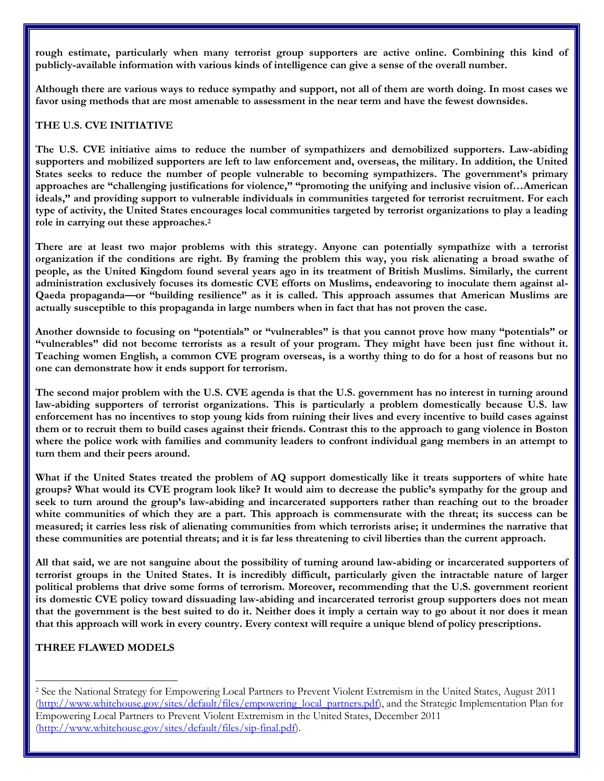**rough estimate, particularly when many terrorist group supporters are active online. Combining this kind of publicly-available information with various kinds of intelligence can give a sense of the overall number.** 

**Although there are various ways to reduce sympathy and support, not all of them are worth doing. In most cases we favor using methods that are most amenable to assessment in the near term and have the fewest downsides.** 

# **THE U.S. CVE INITIATIVE**

**The U.S. CVE initiative aims to reduce the number of sympathizers and demobilized supporters. Law-abiding supporters and mobilized supporters are left to law enforcement and, overseas, the military. In addition, the United States seeks to reduce the number of people vulnerable to becoming sympathizers. The government's primary approaches are "challenging justifications for violence," "promoting the unifying and inclusive vision of…American ideals," and providing support to vulnerable individuals in communities targeted for terrorist recruitment. For each type of activity, the United States encourages local communities targeted by terrorist organizations to play a leading role in carrying out these approaches.<sup>2</sup>**

**There are at least two major problems with this strategy. Anyone can potentially sympathize with a terrorist organization if the conditions are right. By framing the problem this way, you risk alienating a broad swathe of people, as the United Kingdom found several years ago in its treatment of British Muslims. Similarly, the current administration exclusively focuses its domestic CVE efforts on Muslims, endeavoring to inoculate them against al-Qaeda propaganda—or "building resilience" as it is called. This approach assumes that American Muslims are actually susceptible to this propaganda in large numbers when in fact that has not proven the case.**

**Another downside to focusing on "potentials" or "vulnerables" is that you cannot prove how many "potentials" or**  "vulnerables" did not become terrorists as a result of your program. They might have been just fine without it. **Teaching women English, a common CVE program overseas, is a worthy thing to do for a host of reasons but no one can demonstrate how it ends support for terrorism.**

**The second major problem with the U.S. CVE agenda is that the U.S. government has no interest in turning around law-abiding supporters of terrorist organizations. This is particularly a problem domestically because U.S. law enforcement has no incentives to stop young kids from ruining their lives and every incentive to build cases against them or to recruit them to build cases against their friends. Contrast this to the approach to gang violence in Boston where the police work with families and community leaders to confront individual gang members in an attempt to turn them and their peers around.** 

**What if the United States treated the problem of AQ support domestically like it treats supporters of white hate groups? What would its CVE program look like? It would aim to decrease the public's sympathy for the group and seek to turn around the group's law-abiding and incarcerated supporters rather than reaching out to the broader**  white communities of which they are a part. This approach is commensurate with the threat; its success can be **measured; it carries less risk of alienating communities from which terrorists arise; it undermines the narrative that these communities are potential threats; and it is far less threatening to civil liberties than the current approach.**

**All that said, we are not sanguine about the possibility of turning around law-abiding or incarcerated supporters of terrorist groups in the United States. It is incredibly difficult, particularly given the intractable nature of larger political problems that drive some forms of terrorism. Moreover, recommending that the U.S. government reorient its domestic CVE policy toward dissuading law-abiding and incarcerated terrorist group supporters does not mean that the government is the best suited to do it. Neither does it imply a certain way to go about it nor does it mean that this approach will work in every country. Every context will require a unique blend of policy prescriptions.** 

## **THREE FLAWED MODELS**

 $\overline{\phantom{a}}$ 

<sup>2</sup> See the National Strategy for Empowering Local Partners to Prevent Violent Extremism in the United States, August 2011 [\(http://www.whitehouse.gov/sites/default/files/empowering\\_local\\_partners.pdf\)](http://www.whitehouse.gov/sites/default/files/empowering_local_partners.pdf), and the Strategic Implementation Plan for Empowering Local Partners to Prevent Violent Extremism in the United States, December 2011 [\(http://www.whitehouse.gov/sites/default/files/sip-final.pdf\)](http://www.whitehouse.gov/sites/default/files/sip-final.pdf).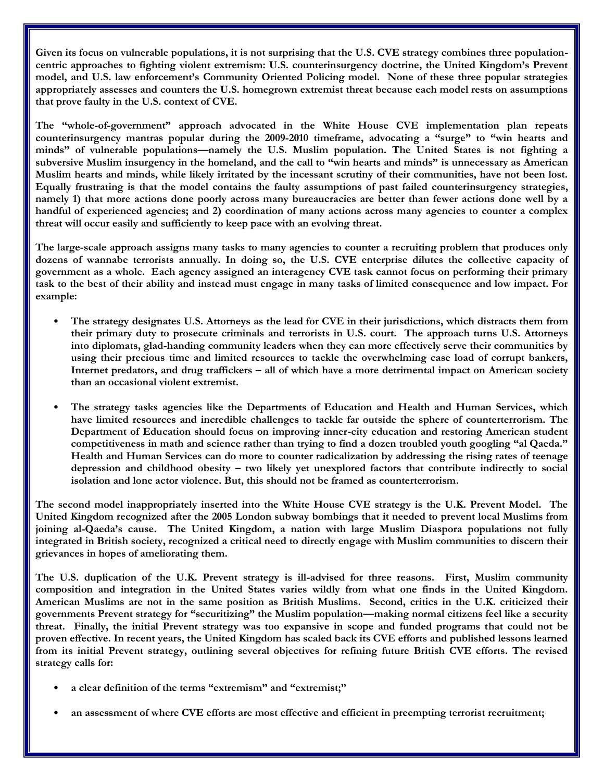Given its focus on vulnerable populations, it is not surprising that the U.S. CVE strategy combines three population**centric approaches to fighting violent extremism: U.S. counterinsurgency doctrine, the United Kingdom's Prevent model, and U.S. law enforcement's Community Oriented Policing model. None of these three popular strategies appropriately assesses and counters the U.S. homegrown extremist threat because each model rests on assumptions that prove faulty in the U.S. context of CVE.** 

**The "whole-of-government" approach advocated in the White House CVE implementation plan repeats counterinsurgency mantras popular during the 2009-2010 timeframe, advocating a "surge" to "win hearts and minds" of vulnerable populations—namely the U.S. Muslim population. The United States is not fighting a subversive Muslim insurgency in the homeland, and the call to "win hearts and minds" is unnecessary as American Muslim hearts and minds, while likely irritated by the incessant scrutiny of their communities, have not been lost. Equally frustrating is that the model contains the faulty assumptions of past failed counterinsurgency strategies, namely 1) that more actions done poorly across many bureaucracies are better than fewer actions done well by a handful of experienced agencies; and 2) coordination of many actions across many agencies to counter a complex threat will occur easily and sufficiently to keep pace with an evolving threat.** 

**The large-scale approach assigns many tasks to many agencies to counter a recruiting problem that produces only dozens of wannabe terrorists annually. In doing so, the U.S. CVE enterprise dilutes the collective capacity of government as a whole. Each agency assigned an interagency CVE task cannot focus on performing their primary task to the best of their ability and instead must engage in many tasks of limited consequence and low impact. For example:**

- **The strategy designates U.S. Attorneys as the lead for CVE in their jurisdictions, which distracts them from their primary duty to prosecute criminals and terrorists in U.S. court. The approach turns U.S. Attorneys into diplomats, glad-handing community leaders when they can more effectively serve their communities by using their precious time and limited resources to tackle the overwhelming case load of corrupt bankers, Internet predators, and drug traffickers – all of which have a more detrimental impact on American society than an occasional violent extremist.**
- **The strategy tasks agencies like the Departments of Education and Health and Human Services, which have limited resources and incredible challenges to tackle far outside the sphere of counterterrorism. The Department of Education should focus on improving inner-city education and restoring American student competitiveness in math and science rather than trying to find a dozen troubled youth googling "al Qaeda." Health and Human Services can do more to counter radicalization by addressing the rising rates of teenage depression and childhood obesity – two likely yet unexplored factors that contribute indirectly to social isolation and lone actor violence. But, this should not be framed as counterterrorism.**

**The second model inappropriately inserted into the White House CVE strategy is the U.K. Prevent Model. The United Kingdom recognized after the 2005 London subway bombings that it needed to prevent local Muslims from joining al-Qaeda's cause. The United Kingdom, a nation with large Muslim Diaspora populations not fully integrated in British society, recognized a critical need to directly engage with Muslim communities to discern their grievances in hopes of ameliorating them.** 

**The U.S. duplication of the U.K. Prevent strategy is ill-advised for three reasons. First, Muslim community composition and integration in the United States varies wildly from what one finds in the United Kingdom. American Muslims are not in the same position as British Muslims. Second, critics in the U.K. criticized their governments Prevent strategy for "securitizing" the Muslim population—making normal citizens feel like a security threat. Finally, the initial Prevent strategy was too expansive in scope and funded programs that could not be proven effective. In recent years, the United Kingdom has scaled back its CVE efforts and published lessons learned from its initial Prevent strategy, outlining several objectives for refining future British CVE efforts. The revised strategy calls for:** 

- **a clear definition of the terms "extremism" and "extremist;"**
- **an assessment of where CVE efforts are most effective and efficient in preempting terrorist recruitment;**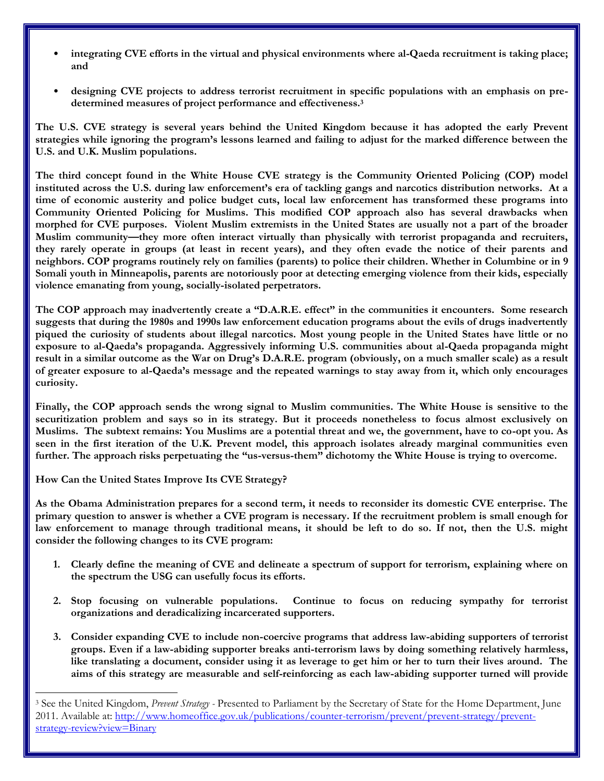- **integrating CVE efforts in the virtual and physical environments where al-Qaeda recruitment is taking place; and**
- **designing CVE projects to address terrorist recruitment in specific populations with an emphasis on predetermined measures of project performance and effectiveness.<sup>3</sup>**

**The U.S. CVE strategy is several years behind the United Kingdom because it has adopted the early Prevent strategies while ignoring the program's lessons learned and failing to adjust for the marked difference between the U.S. and U.K. Muslim populations.** 

**The third concept found in the White House CVE strategy is the Community Oriented Policing (COP) model instituted across the U.S. during law enforcement's era of tackling gangs and narcotics distribution networks. At a time of economic austerity and police budget cuts, local law enforcement has transformed these programs into Community Oriented Policing for Muslims. This modified COP approach also has several drawbacks when morphed for CVE purposes. Violent Muslim extremists in the United States are usually not a part of the broader Muslim community—they more often interact virtually than physically with terrorist propaganda and recruiters, they rarely operate in groups (at least in recent years), and they often evade the notice of their parents and neighbors. COP programs routinely rely on families (parents) to police their children. Whether in Columbine or in 9 Somali youth in Minneapolis, parents are notoriously poor at detecting emerging violence from their kids, especially violence emanating from young, socially-isolated perpetrators.** 

**The COP approach may inadvertently create a "D.A.R.E. effect" in the communities it encounters. Some research suggests that during the 1980s and 1990s law enforcement education programs about the evils of drugs inadvertently piqued the curiosity of students about illegal narcotics. Most young people in the United States have little or no exposure to al-Qaeda's propaganda. Aggressively informing U.S. communities about al-Qaeda propaganda might result in a similar outcome as the War on Drug's D.A.R.E. program (obviously, on a much smaller scale) as a result of greater exposure to al-Qaeda's message and the repeated warnings to stay away from it, which only encourages curiosity.** 

**Finally, the COP approach sends the wrong signal to Muslim communities. The White House is sensitive to the securitization problem and says so in its strategy. But it proceeds nonetheless to focus almost exclusively on Muslims. The subtext remains: You Muslims are a potential threat and we, the government, have to co-opt you. As seen in the first iteration of the U.K. Prevent model, this approach isolates already marginal communities even further. The approach risks perpetuating the "us-versus-them" dichotomy the White House is trying to overcome.**

**How Can the United States Improve Its CVE Strategy?**

 $\overline{\phantom{a}}$ 

**As the Obama Administration prepares for a second term, it needs to reconsider its domestic CVE enterprise. The primary question to answer is whether a CVE program is necessary. If the recruitment problem is small enough for law enforcement to manage through traditional means, it should be left to do so. If not, then the U.S. might consider the following changes to its CVE program:** 

- **1. Clearly define the meaning of CVE and delineate a spectrum of support for terrorism, explaining where on the spectrum the USG can usefully focus its efforts.**
- **2. Stop focusing on vulnerable populations. Continue to focus on reducing sympathy for terrorist organizations and deradicalizing incarcerated supporters.**
- **3. Consider expanding CVE to include non-coercive programs that address law-abiding supporters of terrorist groups. Even if a law-abiding supporter breaks anti-terrorism laws by doing something relatively harmless, like translating a document, consider using it as leverage to get him or her to turn their lives around. The aims of this strategy are measurable and self-reinforcing as each law-abiding supporter turned will provide**

<sup>3</sup> See the United Kingdom, *Prevent Strategy -* Presented to Parliament by the Secretary of State for the Home Department, June 2011. Available at: [http://www.homeoffice.gov.uk/publications/counter-terrorism/prevent/prevent-strategy/prevent](http://www.homeoffice.gov.uk/publications/counter-terrorism/prevent/prevent-strategy/prevent-strategy-review?view=Binary)[strategy-review?view=Binary](http://www.homeoffice.gov.uk/publications/counter-terrorism/prevent/prevent-strategy/prevent-strategy-review?view=Binary)